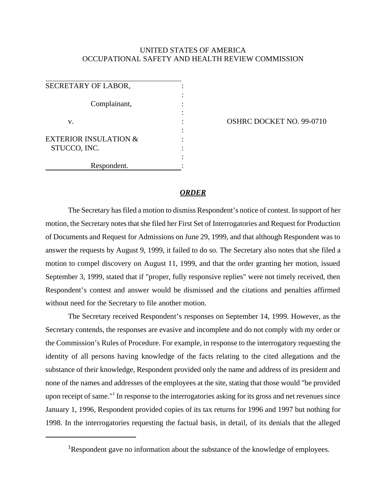## UNITED STATES OF AMERICA OCCUPATIONAL SAFETY AND HEALTH REVIEW COMMISSION

SECRETARY OF LABOR, : Complainant, : v.  $\qquad \qquad$  : OSHRC DOCKET NO. 99-0710 : EXTERIOR INSULATION & STUCCO, INC. : Respondent.

## *ORDER*

The Secretary has filed a motion to dismiss Respondent's notice of contest. In support of her motion, the Secretary notes that she filed her First Set of Interrogatories and Request for Production of Documents and Request for Admissions on June 29, 1999, and that although Respondent was to answer the requests by August 9, 1999, it failed to do so. The Secretary also notes that she filed a motion to compel discovery on August 11, 1999, and that the order granting her motion, issued September 3, 1999, stated that if "proper, fully responsive replies" were not timely received, then Respondent's contest and answer would be dismissed and the citations and penalties affirmed without need for the Secretary to file another motion.

The Secretary received Respondent's responses on September 14, 1999. However, as the Secretary contends, the responses are evasive and incomplete and do not comply with my order or the Commission's Rules of Procedure. For example, in response to the interrogatory requesting the identity of all persons having knowledge of the facts relating to the cited allegations and the substance of their knowledge, Respondent provided only the name and address of its president and none of the names and addresses of the employees at the site, stating that those would "be provided upon receipt of same."<sup>1</sup> In response to the interrogatories asking for its gross and net revenues since January 1, 1996, Respondent provided copies of its tax returns for 1996 and 1997 but nothing for 1998. In the interrogatories requesting the factual basis, in detail, of its denials that the alleged

<sup>&</sup>lt;sup>1</sup>Respondent gave no information about the substance of the knowledge of employees.